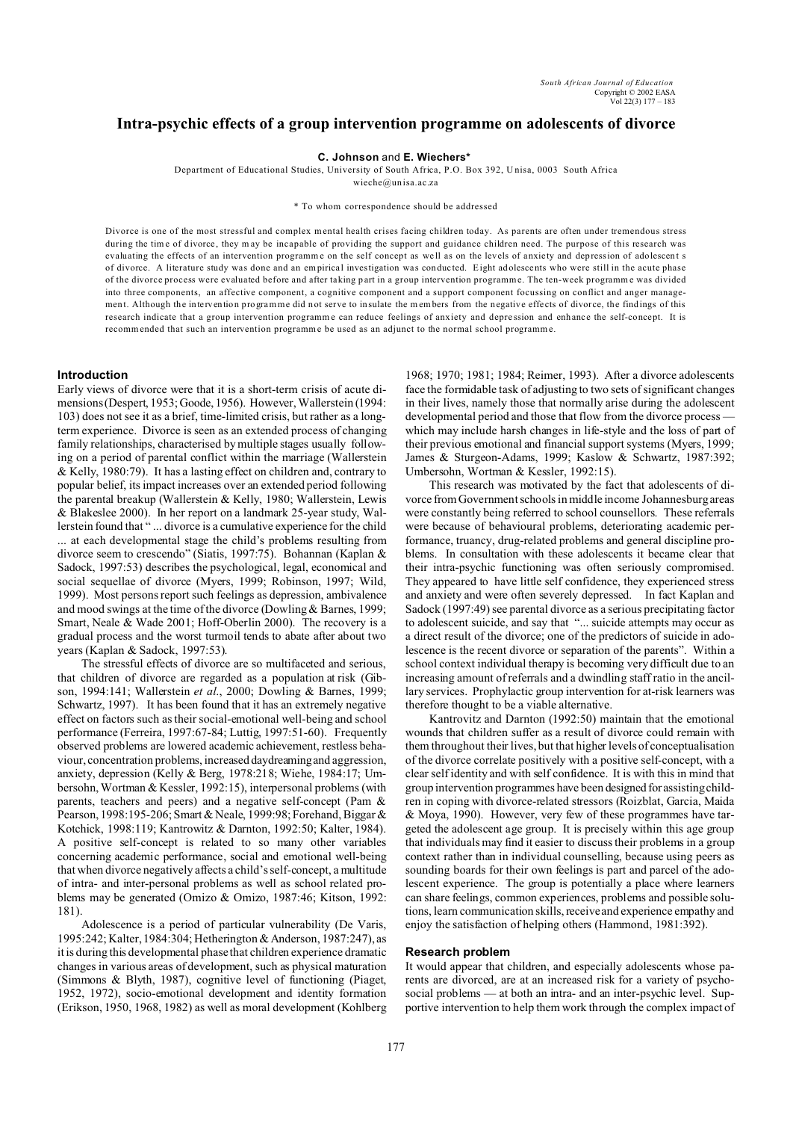# **Intra-psychic effects of a group intervention programme on adolescents of divorce**

# **C. Johnson** and **E. Wiechers\***

Department of Educational Studies, University of South Africa, P.O. Box 392, U nisa, 0003 South Africa

wieche@un isa.ac.za

#### \* To whom correspondence should be addressed

Divorce is one of the most stressful and complex mental health crises facing children today. As parents are often under tremendous stress during the time of divorce, they may be incapable of providing the support and guidance children need. The purpose of this research was evaluating the effects of an intervention programme on the self concept as well as on the levels of anxiety and depression of adolescent s of divorce. A literature study was done and an empirica l investigation was con duc ted. Eight ad olescents who were still in the acute phase of the divorce process were evaluated before and after taking part in a group intervention programme. The ten-week programme was divided into three components, an affective component, a cognitive component and a support component focussing on conflict and anger management. Although the intervention programme did not serve to insulate the members from the negative effects of divorce, the findings of this research indicate that a group intervention programme can reduce feelings of anxiety and depression and enhance the self-concept. It is recommended that such an intervention programme be used as an adjunct to the normal school programme.

# **Introduction**

Early views of divorce were that it is a short-term crisis of acute dimensions (Despert, 1953; Goode, 1956). However, Wallerstein (1994: 103) does not see it as a brief, time-limited crisis, but rather as a longterm experience. Divorce is seen as an extended process of changing family relationships, characterised by multiple stages usually following on a period of parental conflict within the marriage (Wallerstein & Kelly, 1980:79). It has a lasting effect on children and, contrary to popular belief, its impact increases over an extended period following the parental breakup (Wallerstein & Kelly, 1980; Wallerstein, Lewis & Blakeslee 2000). In her report on a landmark 25-year study, Wallerstein found that " ... divorce is a cumulative experience for the child ... at each developmental stage the child's problems resulting from divorce seem to crescendo" (Siatis, 1997:75). Bohannan (Kaplan & Sadock, 1997:53) describes the psychological, legal, economical and social sequellae of divorce (Myers, 1999; Robinson, 1997; Wild, 1999). Most persons report such feelings as depression, ambivalence and mood swings at the time of the divorce (Dowling & Barnes, 1999; Smart, Neale & Wade 2001; Hoff-Oberlin 2000). The recovery is a gradual process and the worst turmoil tends to abate after about two years (Kaplan & Sadock, 1997:53).

The stressful effects of divorce are so multifaceted and serious, that children of divorce are regarded as a population at risk (Gibson, 1994:141; Wallerstein *et al*., 2000; Dowling & Barnes, 1999; Schwartz, 1997). It has been found that it has an extremely negative effect on factors such as their social-emotional well-being and school performance (Ferreira, 1997:67-84; Luttig, 1997:51-60). Frequently observed problems are lowered academic achievement, restless behaviour, concentration problems, increased daydreamingand aggression, anxiety, depression (Kelly & Berg, 1978:218; Wiehe, 1984:17; Umbersohn, Wortman & Kessler, 1992:15), interpersonal problems (with parents, teachers and peers) and a negative self-concept (Pam & Pearson, 1998:195-206; Smart & Neale, 1999:98; Forehand, Biggar & Kotchick, 1998:119; Kantrowitz & Darnton, 1992:50; Kalter, 1984). A positive self-concept is related to so many other variables concerning academic performance, social and emotional well-being that when divorce negatively affects a child's self-concept, a multitude of intra- and inter-personal problems as well as school related problems may be generated (Omizo & Omizo, 1987:46; Kitson, 1992: 181).

Adolescence is a period of particular vulnerability (De Varis, 1995:242; Kalter, 1984:304; Hetherington & Anderson, 1987:247), as it is during this developmental phase that children experience dramatic changes in various areas of development, such as physical maturation (Simmons & Blyth, 1987), cognitive level of functioning (Piaget, 1952, 1972), socio-emotional development and identity formation (Erikson, 1950, 1968, 1982) as well as moral development (Kohlberg

1968; 1970; 1981; 1984; Reimer, 1993). After a divorce adolescents face the formidable task of adjusting to two sets of significant changes in their lives, namely those that normally arise during the adolescent developmental period and those that flow from the divorce process which may include harsh changes in life-style and the loss of part of their previous emotional and financial support systems (Myers, 1999; James & Sturgeon-Adams, 1999; Kaslow & Schwartz, 1987:392; Umbersohn, Wortman & Kessler, 1992:15).

This research was motivated by the fact that adolescents of divorce from Government schools in middle income Johannesburg areas were constantly being referred to school counsellors. These referrals were because of behavioural problems, deteriorating academic performance, truancy, drug-related problems and general discipline problems. In consultation with these adolescents it became clear that their intra-psychic functioning was often seriously compromised. They appeared to have little self confidence, they experienced stress and anxiety and were often severely depressed. In fact Kaplan and Sadock (1997:49) see parental divorce as a serious precipitating factor to adolescent suicide, and say that "... suicide attempts may occur as a direct result of the divorce; one of the predictors of suicide in adolescence is the recent divorce or separation of the parents". Within a school context individual therapy is becoming very difficult due to an increasing amount of referrals and a dwindling staff ratio in the ancillary services. Prophylactic group intervention for at-risk learners was therefore thought to be a viable alternative.

Kantrovitz and Darnton (1992:50) maintain that the emotional wounds that children suffer as a result of divorce could remain with them throughout their lives, but that higher levels of conceptualisation of the divorce correlate positively with a positive self-concept, with a clear self identity and with self confidence. It is with this in mind that group intervention programmes have been designed for assisting children in coping with divorce-related stressors (Roizblat, Garcia, Maida & Moya, 1990). However, very few of these programmes have targeted the adolescent age group. It is precisely within this age group that individuals may find it easier to discuss their problems in a group context rather than in individual counselling, because using peers as sounding boards for their own feelings is part and parcel of the adolescent experience. The group is potentially a place where learners can share feelings, common experiences, problems and possible solutions, learn communication skills, receive and experience empathy and enjoy the satisfaction of helping others (Hammond, 1981:392).

# **Research problem**

It would appear that children, and especially adolescents whose parents are divorced, are at an increased risk for a variety of psychosocial problems — at both an intra- and an inter-psychic level. Supportive intervention to help them work through the complex impact of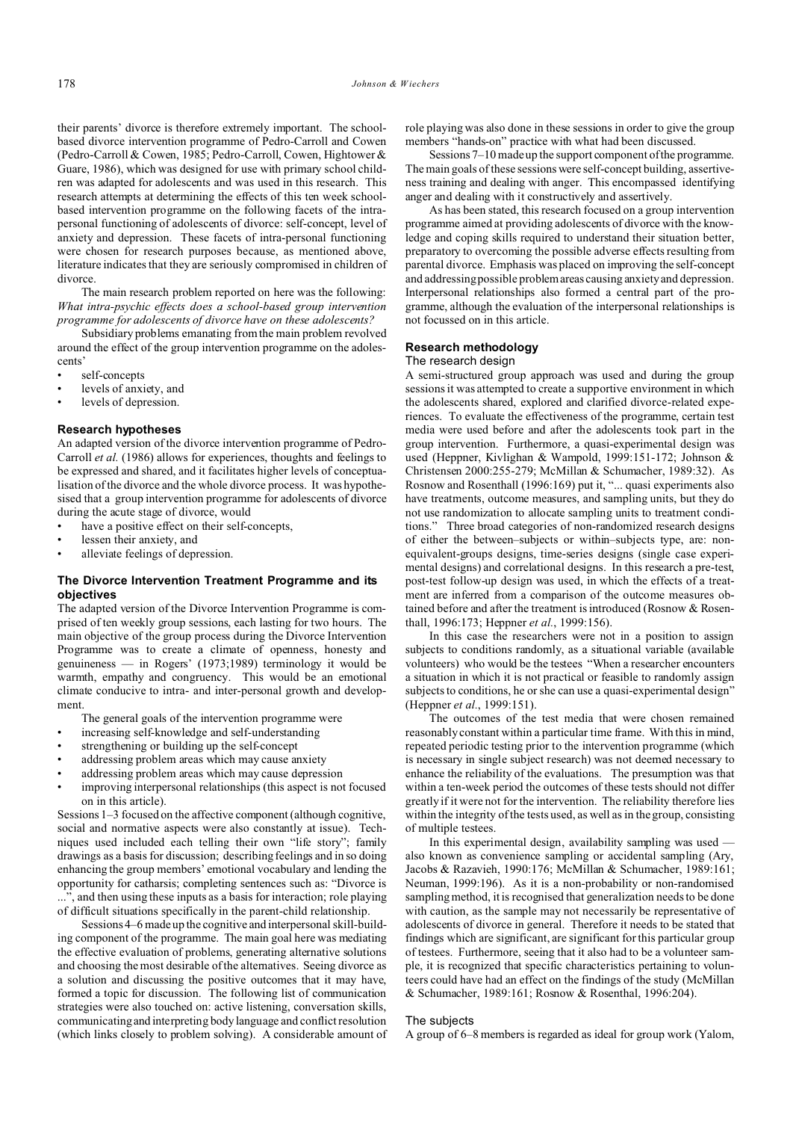their parents' divorce is therefore extremely important. The schoolbased divorce intervention programme of Pedro-Carroll and Cowen (Pedro-Carroll & Cowen, 1985; Pedro-Carroll, Cowen, Hightower & Guare, 1986), which was designed for use with primary school children was adapted for adolescents and was used in this research. This research attempts at determining the effects of this ten week schoolbased intervention programme on the following facets of the intrapersonal functioning of adolescents of divorce: self-concept, level of anxiety and depression. These facets of intra-personal functioning were chosen for research purposes because, as mentioned above, literature indicates that they are seriously compromised in children of divorce.

The main research problem reported on here was the following: *What intra-psychic effects does a school-based group intervention programme for adolescents of divorce have on these adolescents?* 

Subsidiary problems emanating from the main problem revolved around the effect of the group intervention programme on the adolescents'

- self-concepts
- levels of anxiety, and
- levels of depression.

# **Research hypotheses**

An adapted version of the divorce intervention programme of Pedro-Carroll *et al.* (1986) allows for experiences, thoughts and feelings to be expressed and shared, and it facilitates higher levels of conceptualisation of the divorce and the whole divorce process. It was hypothesised that a group intervention programme for adolescents of divorce during the acute stage of divorce, would

- have a positive effect on their self-concepts,
- lessen their anxiety, and
- alleviate feelings of depression.

# **The Divorce Intervention Treatment Programme and its objectives**

The adapted version of the Divorce Intervention Programme is comprised of ten weekly group sessions, each lasting for two hours. The main objective of the group process during the Divorce Intervention Programme was to create a climate of openness, honesty and genuineness — in Rogers' (1973;1989) terminology it would be warmth, empathy and congruency. This would be an emotional climate conducive to intra- and inter-personal growth and development.

The general goals of the intervention programme were

- increasing self-knowledge and self-understanding
- strengthening or building up the self-concept
- addressing problem areas which may cause anxiety
- addressing problem areas which may cause depression
- improving interpersonal relationships (this aspect is not focused on in this article).

Sessions 1–3 focused on the affective component (although cognitive, social and normative aspects were also constantly at issue). Techniques used included each telling their own "life story"; family drawings as a basis for discussion; describing feelings and in so doing enhancing the group members' emotional vocabulary and lending the opportunity for catharsis; completing sentences such as: "Divorce is , and then using these inputs as a basis for interaction; role playing of difficult situations specifically in the parent-child relationship.

Sessions 4–6 made up the cognitive and interpersonal skill-building component of the programme. The main goal here was mediating the effective evaluation of problems, generating alternative solutions and choosing the most desirable of the alternatives. Seeing divorce as a solution and discussing the positive outcomes that it may have, formed a topic for discussion. The following list of communication strategies were also touched on: active listening, conversation skills, communicating and interpreting body language and conflict resolution (which links closely to problem solving). A considerable amount of

role playing was also done in these sessions in order to give the group members "hands-on" practice with what had been discussed.

Sessions 7–10 made up the support component of the programme. The main goals of these sessions were self-concept building, assertiveness training and dealing with anger. This encompassed identifying anger and dealing with it constructively and assertively.

As has been stated, this research focused on a group intervention programme aimed at providing adolescents of divorce with the knowledge and coping skills required to understand their situation better, preparatory to overcoming the possible adverse effects resulting from parental divorce. Emphasis was placed on improving the self-concept and addressing possible problemareas causing anxiety and depression. Interpersonal relationships also formed a central part of the programme, although the evaluation of the interpersonal relationships is not focussed on in this article.

# **Research methodology**

#### The research design

A semi-structured group approach was used and during the group sessions it was attempted to create a supportive environment in which the adolescents shared, explored and clarified divorce-related experiences. To evaluate the effectiveness of the programme, certain test media were used before and after the adolescents took part in the group intervention. Furthermore, a quasi-experimental design was used (Heppner, Kivlighan & Wampold, 1999:151-172; Johnson & Christensen 2000:255-279; McMillan & Schumacher, 1989:32). As Rosnow and Rosenthall (1996:169) put it, "... quasi experiments also have treatments, outcome measures, and sampling units, but they do not use randomization to allocate sampling units to treatment conditions." Three broad categories of non-randomized research designs of either the between–subjects or within–subjects type, are: nonequivalent-groups designs, time-series designs (single case experimental designs) and correlational designs. In this research a pre-test, post-test follow-up design was used, in which the effects of a treatment are inferred from a comparison of the outcome measures obtained before and after the treatment is introduced (Rosnow & Rosenthall, 1996:173; Heppner *et al.*, 1999:156).

In this case the researchers were not in a position to assign subjects to conditions randomly, as a situational variable (available volunteers) who would be the testees "When a researcher encounters a situation in which it is not practical or feasible to randomly assign subjects to conditions, he or she can use a quasi-experimental design" (Heppner *et al.*, 1999:151).

The outcomes of the test media that were chosen remained reasonably constant within a particular time frame. With this in mind, repeated periodic testing prior to the intervention programme (which is necessary in single subject research) was not deemed necessary to enhance the reliability of the evaluations. The presumption was that within a ten-week period the outcomes of these tests should not differ greatly if it were not for the intervention. The reliability therefore lies within the integrity of the tests used, as well as in the group, consisting of multiple testees.

In this experimental design, availability sampling was used also known as convenience sampling or accidental sampling (Ary, Jacobs & Razavieh, 1990:176; McMillan & Schumacher, 1989:161; Neuman, 1999:196). As it is a non-probability or non-randomised sampling method, it is recognised that generalization needs to be done with caution, as the sample may not necessarily be representative of adolescents of divorce in general. Therefore it needs to be stated that findings which are significant, are significant for this particular group of testees. Furthermore, seeing that it also had to be a volunteer sample, it is recognized that specific characteristics pertaining to volunteers could have had an effect on the findings of the study (McMillan & Schumacher, 1989:161; Rosnow & Rosenthal, 1996:204).

#### The subjects

A group of 6–8 members is regarded as ideal for group work (Yalom,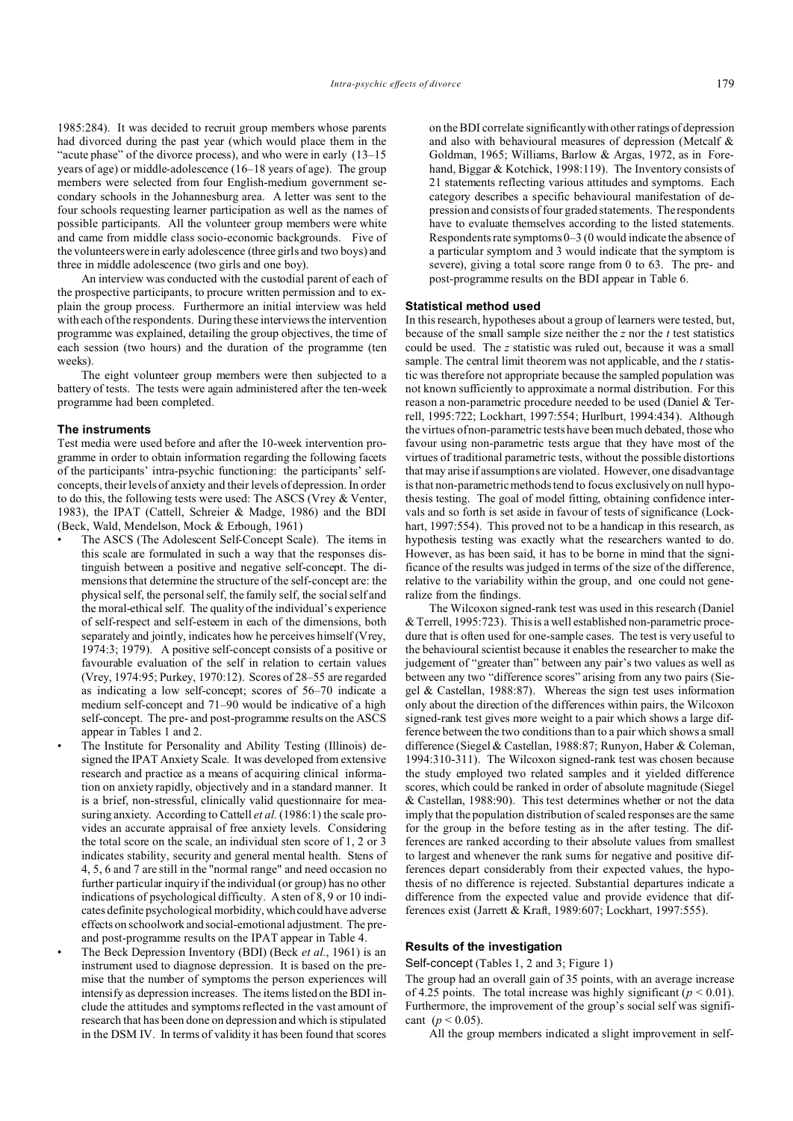1985:284). It was decided to recruit group members whose parents had divorced during the past year (which would place them in the "acute phase" of the divorce process), and who were in early  $(13-15)$ years of age) or middle-adolescence (16–18 years of age). The group members were selected from four English-medium government secondary schools in the Johannesburg area. A letter was sent to the four schools requesting learner participation as well as the names of possible participants. All the volunteer group members were white and came from middle class socio-economic backgrounds. Five of the volunteers were in early adolescence (three girls and two boys) and three in middle adolescence (two girls and one boy).

An interview was conducted with the custodial parent of each of the prospective participants, to procure written permission and to explain the group process. Furthermore an initial interview was held with each of the respondents. During these interviews the intervention programme was explained, detailing the group objectives, the time of each session (two hours) and the duration of the programme (ten weeks).

The eight volunteer group members were then subjected to a battery of tests. The tests were again administered after the ten-week programme had been completed.

# **The instruments**

Test media were used before and after the 10-week intervention programme in order to obtain information regarding the following facets of the participants' intra-psychic functioning: the participants' selfconcepts, their levels of anxiety and their levels of depression. In order to do this, the following tests were used: The ASCS (Vrey & Venter, 1983), the IPAT (Cattell, Schreier & Madge, 1986) and the BDI (Beck, Wald, Mendelson, Mock & Erbough, 1961)

- The ASCS (The Adolescent Self-Concept Scale). The items in this scale are formulated in such a way that the responses distinguish between a positive and negative self-concept. The dimensions that determine the structure of the self-concept are: the physical self, the personal self, the family self, the social self and the moral-ethical self. The quality of the individual's experience of self-respect and self-esteem in each of the dimensions, both separately and jointly, indicates how he perceives himself (Vrey, 1974:3; 1979). A positive self-concept consists of a positive or favourable evaluation of the self in relation to certain values (Vrey, 1974:95; Purkey, 1970:12). Scores of 28–55 are regarded as indicating a low self-concept; scores of 56–70 indicate a medium self-concept and 71–90 would be indicative of a high self-concept. The pre- and post-programme results on the ASCS appear in Tables 1 and 2.
- The Institute for Personality and Ability Testing (Illinois) designed the IPAT Anxiety Scale. It was developed from extensive research and practice as a means of acquiring clinical information on anxiety rapidly, objectively and in a standard manner. It is a brief, non-stressful, clinically valid questionnaire for measuring anxiety. According to Cattell *et al.* (1986:1) the scale provides an accurate appraisal of free anxiety levels. Considering the total score on the scale, an individual sten score of 1, 2 or 3 indicates stability, security and general mental health. Stens of 4, 5, 6 and 7 are still in the "normal range" and need occasion no further particular inquiry if the individual (or group) has no other indications of psychological difficulty. A sten of 8, 9 or 10 indicates definite psychological morbidity, which could have adverse effects on schoolwork and social-emotional adjustment. The preand post-programme results on the IPAT appear in Table 4.
- The Beck Depression Inventory (BDI) (Beck *et al.*, 1961) is an instrument used to diagnose depression. It is based on the premise that the number of symptoms the person experiences will intensify as depression increases. The items listed on the BDI include the attitudes and symptoms reflected in the vast amount of research that has been done on depression and which is stipulated in the DSM IV. In terms of validity it has been found that scores

on the BDI correlate significantly with other ratings of depression and also with behavioural measures of depression (Metcalf & Goldman, 1965; Williams, Barlow & Argas, 1972, as in Forehand, Biggar & Kotchick, 1998:119). The Inventory consists of 21 statements reflecting various attitudes and symptoms. Each category describes a specific behavioural manifestation of depression and consists of four graded statements. The respondents have to evaluate themselves according to the listed statements. Respondents rate symptoms 0–3 (0 would indicate the absence of a particular symptom and 3 would indicate that the symptom is severe), giving a total score range from 0 to 63. The pre- and post-programme results on the BDI appear in Table 6.

### **Statistical method used**

In this research, hypotheses about a group of learners were tested, but, because of the small sample size neither the *z* nor the *t* test statistics could be used. The *z* statistic was ruled out, because it was a small sample. The central limit theorem was not applicable, and the *t* statistic was therefore not appropriate because the sampled population was not known sufficiently to approximate a normal distribution. For this reason a non-parametric procedure needed to be used (Daniel & Terrell, 1995:722; Lockhart, 1997:554; Hurlburt, 1994:434). Although the virtues of non-parametric tests have been much debated, those who favour using non-parametric tests argue that they have most of the virtues of traditional parametric tests, without the possible distortions that may arise if assumptions are violated. However, one disadvantage is that non-parametric methods tend to focus exclusively on null hypothesis testing. The goal of model fitting, obtaining confidence intervals and so forth is set aside in favour of tests of significance (Lockhart, 1997:554). This proved not to be a handicap in this research, as hypothesis testing was exactly what the researchers wanted to do. However, as has been said, it has to be borne in mind that the significance of the results was judged in terms of the size of the difference, relative to the variability within the group, and one could not generalize from the findings.

The Wilcoxon signed-rank test was used in this research (Daniel & Terrell, 1995:723). This is a well established non-parametric procedure that is often used for one-sample cases. The test is very useful to the behavioural scientist because it enables the researcher to make the judgement of "greater than" between any pair's two values as well as between any two "difference scores" arising from any two pairs (Siegel & Castellan, 1988:87). Whereas the sign test uses information only about the direction of the differences within pairs, the Wilcoxon signed-rank test gives more weight to a pair which shows a large difference between the two conditions than to a pair which shows a small difference (Siegel & Castellan, 1988:87; Runyon, Haber & Coleman, 1994:310-311). The Wilcoxon signed-rank test was chosen because the study employed two related samples and it yielded difference scores, which could be ranked in order of absolute magnitude (Siegel & Castellan, 1988:90). This test determines whether or not the data imply that the population distribution of scaled responses are the same for the group in the before testing as in the after testing. The differences are ranked according to their absolute values from smallest to largest and whenever the rank sums for negative and positive differences depart considerably from their expected values, the hypothesis of no difference is rejected. Substantial departures indicate a difference from the expected value and provide evidence that differences exist (Jarrett & Kraft, 1989:607; Lockhart, 1997:555).

### **Results of the investigation**

Self-concept (Tables 1, 2 and 3; Figure 1)

The group had an overall gain of 35 points, with an average increase of 4.25 points. The total increase was highly significant ( $p < 0.01$ ). Furthermore, the improvement of the group's social self was significant ( $p < 0.05$ ).

All the group members indicated a slight improvement in self-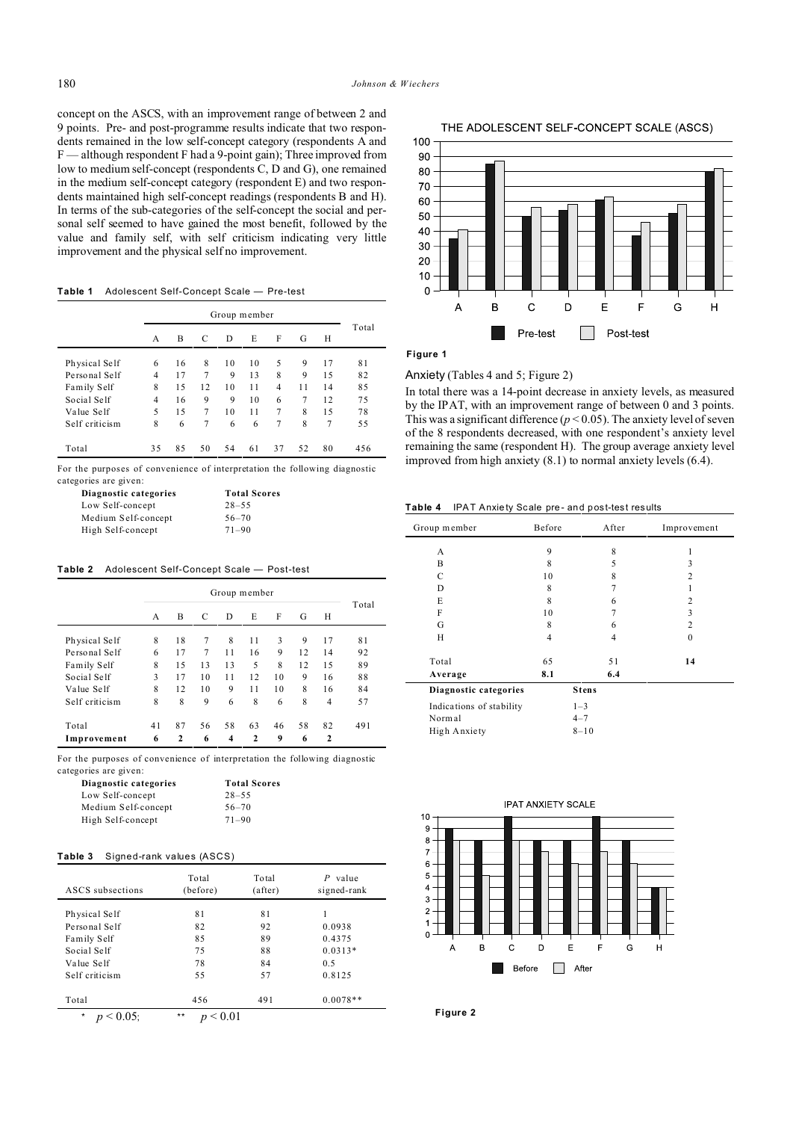concept on the ASCS, with an improvement range of between 2 and 9 points. Pre- and post-programme results indicate that two respondents remained in the low self-concept category (respondents A and F — although respondent F had a 9-point gain); Three improved from low to medium self-concept (respondents C, D and G), one remained in the medium self-concept category (respondent E) and two respondents maintained high self-concept readings (respondents B and H). In terms of the sub-categories of the self-concept the social and personal self seemed to have gained the most benefit, followed by the value and family self, with self criticism indicating very little improvement and the physical self no improvement.

**Table 1** Adolescent Self-Concept Scale — Pre-test

|                |    | Group member |                |    |    |                |    |    |       |
|----------------|----|--------------|----------------|----|----|----------------|----|----|-------|
|                | A  | B            | C              | D  | E  | F              | G  | Н  | Total |
| Physical Self  | 6  | 16           | 8              | 10 | 10 | 5              | 9  | 17 | 81    |
| Personal Self  | 4  | 17           | 7              | 9  | 13 | 8              | 9  | 15 | 82    |
| Family Self    | 8  | 15           | 12             | 10 | 11 | $\overline{4}$ | 11 | 14 | 85    |
| Social Self    | 4  | 16           | 9              | 9  | 10 | 6              | 7  | 12 | 75    |
| Value Self     | 5  | 15           | $\overline{7}$ | 10 | 11 | $\overline{7}$ | 8  | 15 | 78    |
| Self criticism | 8  | 6            | 7              | 6  | 6  | 7              | 8  | 7  | 55    |
| Total          | 35 | 85           | 50             | 54 | 61 | 37             | 52 | 80 | 456   |

For the purposes of convenience of interpretation the following diagnostic categories are given:

| Diagnostic categories | <b>Total Scores</b> |  |  |
|-----------------------|---------------------|--|--|
| Low Self-concept      | $28 - 55$           |  |  |
| Medium Self-concept   | $56 - 70$           |  |  |
| High Self-concept     | $71 - 90$           |  |  |

**Table 2** Adolescent Self-Concept Scale — Post-test

|                | Group member |              |    |    |              |    |    |                |       |
|----------------|--------------|--------------|----|----|--------------|----|----|----------------|-------|
|                | А            | B            | C  | D  | E            | F  | G  | Н              | Total |
| Physical Self  | 8            | 18           | 7  | 8  | 11           | 3  | 9  | 17             | 81    |
| Personal Self  | 6            | 17           | 7  | 11 | 16           | 9  | 12 | 14             | 92    |
| Family Self    | 8            | 15           | 13 | 13 | 5            | 8  | 12 | 15             | 89    |
| Social Self    | 3            | 17           | 10 | 11 | 12           | 10 | 9  | 16             | 88    |
| Value Self     | 8            | 12           | 10 | 9  | 11           | 10 | 8  | 16             | 84    |
| Self criticism | 8            | 8            | 9  | 6  | 8            | 6  | 8  | $\overline{4}$ | 57    |
| Total          | 41           | 87           | 56 | 58 | 63           | 46 | 58 | 82             | 491   |
| Improvement    | 6            | $\mathbf{2}$ | 6  | 4  | $\mathbf{2}$ | 9  | 6  | $\mathbf{2}$   |       |

For the purposes of convenience of interpretation the following diagnostic categories are given:

| Diagnostic categories | <b>Total Scores</b> |  |  |
|-----------------------|---------------------|--|--|
| Low Self-concept      | $28 - 55$           |  |  |
| Medium Self-concept   | $56 - 70$           |  |  |
| High Self-concept     | $71 - 90$           |  |  |

#### **Table 3** Signed-rank values (ASCS)

| ASCS subsections | Total<br>(before) | Total<br>(after) | value<br>P<br>signed-rank |
|------------------|-------------------|------------------|---------------------------|
| Physical Self    | 81                | 81               |                           |
| Personal Self    | 82                | 92               | 0.0938                    |
| Family Self      | 85                | 89               | 0.4375                    |
| Social Self      | 75                | 88               | $0.0313*$                 |
| Value Self       | 78                | 84               | 0.5                       |
| Self criticism   | 55                | 57               | 0.8125                    |
| Total            | 456               | 491              | $0.0078**$                |
| $\star$<br>0.05: | $***$             |                  |                           |

 $\Omega$  $\mathbf{C}$  $\overline{A}$  $\overline{B}$ D  $E$  $\overline{F}$ G  $H$ 

### **Figure 1**

# Anxiety (Tables 4 and 5; Figure 2)

In total there was a 14-point decrease in anxiety levels, as measured by the IPAT, with an improvement range of between 0 and 3 points. This was a significant difference ( $p < 0.05$ ). The anxiety level of seven of the 8 respondents decreased, with one respondent's anxiety level remaining the same (respondent H). The group average anxiety level improved from high anxiety (8.1) to normal anxiety levels (6.4).

 $\Box$ 

Post test

Table 4 IPAT Anxie ty Scale pre- and post-test results

Pre-test

| Group member             | Before | After        | Improvement    |
|--------------------------|--------|--------------|----------------|
| A                        | 9      | 8            | 1              |
| B                        | 8      | 5            | 3              |
| C                        | 10     | 8            | 2              |
| D                        | 8      | 7            |                |
| E                        | 8      | 6            | 2              |
| F                        | 10     | 7            | 3              |
| G                        | 8      | 6            | $\overline{c}$ |
| H                        | 4      | 4            | $\theta$       |
| Total                    | 65     | 51           | 14             |
| Average                  | 8.1    | 6.4          |                |
| Diagnostic categories    |        | <b>Stens</b> |                |
| Indications of stability |        | $1 - 3$      |                |
| Normal                   |        | $4 - 7$      |                |
| High Anxiety             |        | $8 - 10$     |                |





THE ADOLESCENT SELF-CONCEPT SCALE (ASCS)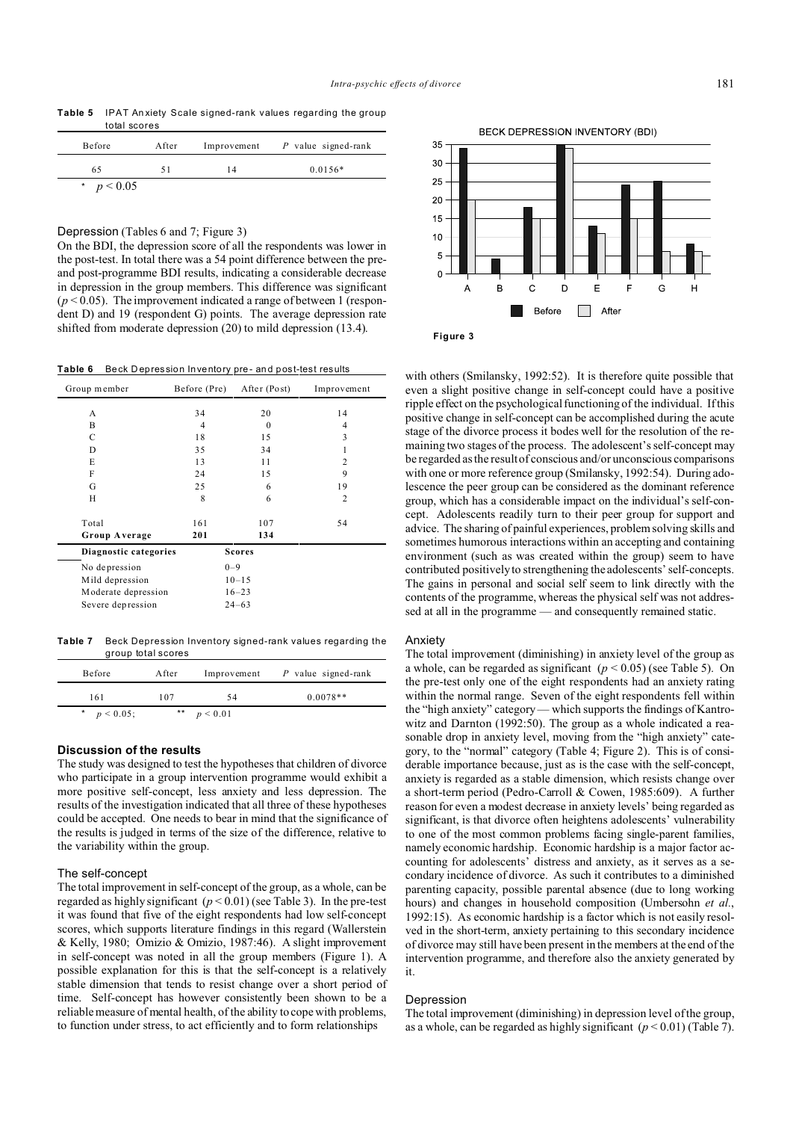**Table 5** IPAT Anxiety Scale signed-rank values regarding the group total scores

| Before       | After |    | Improvement $P$ value signed-rank |
|--------------|-------|----|-----------------------------------|
| 65           |       | 14 | $0.0156*$                         |
| * $p < 0.05$ |       |    |                                   |

Depression (Tables 6 and 7; Figure 3)

On the BDI, the depression score of all the respondents was lower in the post-test. In total there was a 54 point difference between the preand post-programme BDI results, indicating a considerable decrease in depression in the group members. This difference was significant  $(p<0.05)$ . The improvement indicated a range of between 1 (respondent D) and 19 (respondent G) points. The average depression rate shifted from moderate depression (20) to mild depression (13.4).

Table 6 Beck Depression Inventory pre- and post-test results

| Group member                                                                 | Before (Pre) | After (Post)                                   | Improvement    |
|------------------------------------------------------------------------------|--------------|------------------------------------------------|----------------|
| A                                                                            | 34           | 20                                             | 14             |
| B                                                                            | 4            | $\theta$                                       | 4              |
| $\mathbf C$                                                                  | 18           | 15                                             | 3              |
| D                                                                            | 35           | 34                                             |                |
| E                                                                            | 13           | 11                                             | $\overline{c}$ |
| F                                                                            | 24           | 15                                             | 9              |
| G                                                                            | 25           | 6                                              | 19             |
| H                                                                            | 8            | 6                                              | $\overline{2}$ |
| Total<br>Group Average                                                       | 161<br>201   | 107<br>134                                     | 54             |
| Diagnostic categories                                                        |              | <b>Scores</b>                                  |                |
| No depression<br>Mild depression<br>Moderate depression<br>Severe depression |              | $0 - 9$<br>$10 - 15$<br>$16 - 23$<br>$24 - 63$ |                |

**Table 7** Beck Depression Inventory signed-rank values regarding the group total scores

| Before         | After | Improvement | P value signed-rank |
|----------------|-------|-------------|---------------------|
| 161            | 107   | 54          | $0.0078**$          |
| * $p < 0.05$ ; | $***$ | p < 0.01    |                     |

#### **Discussion of the results**

The study was designed to test the hypotheses that children of divorce who participate in a group intervention programme would exhibit a more positive self-concept, less anxiety and less depression. The results of the investigation indicated that all three of these hypotheses could be accepted. One needs to bear in mind that the significance of the results is judged in terms of the size of the difference, relative to the variability within the group.

### The self-concept

The total improvement in self-concept of the group, as a whole, can be regarded as highly significant  $(p < 0.01)$  (see Table 3). In the pre-test it was found that five of the eight respondents had low self-concept scores, which supports literature findings in this regard (Wallerstein & Kelly, 1980; Omizio & Omizio, 1987:46). A slight improvement in self-concept was noted in all the group members (Figure 1). A possible explanation for this is that the self-concept is a relatively stable dimension that tends to resist change over a short period of time. Self-concept has however consistently been shown to be a reliable measure of mental health, of the ability to cope with problems, to function under stress, to act efficiently and to form relationships



with others (Smilansky, 1992:52). It is therefore quite possible that even a slight positive change in self-concept could have a positive ripple effect on the psychological functioning of the individual. If this positive change in self-concept can be accomplished during the acute stage of the divorce process it bodes well for the resolution of the remaining two stages of the process. The adolescent's self-concept may be regarded as the result of conscious and/or unconscious comparisons with one or more reference group (Smilansky, 1992:54). During adolescence the peer group can be considered as the dominant reference group, which has a considerable impact on the individual's self-concept. Adolescents readily turn to their peer group for support and advice. The sharing of painful experiences, problem solving skills and sometimes humorous interactions within an accepting and containing environment (such as was created within the group) seem to have contributed positively to strengthening the adolescents' self-concepts. The gains in personal and social self seem to link directly with the contents of the programme, whereas the physical self was not addressed at all in the programme — and consequently remained static.

# **Anxiety**

The total improvement (diminishing) in anxiety level of the group as a whole, can be regarded as significant  $(p < 0.05)$  (see Table 5). On the pre-test only one of the eight respondents had an anxiety rating within the normal range. Seven of the eight respondents fell within the "high anxiety" category — which supports the findings of Kantrowitz and Darnton (1992:50). The group as a whole indicated a reasonable drop in anxiety level, moving from the "high anxiety" category, to the "normal" category (Table 4; Figure 2). This is of considerable importance because, just as is the case with the self-concept, anxiety is regarded as a stable dimension, which resists change over a short-term period (Pedro-Carroll & Cowen, 1985:609). A further reason for even a modest decrease in anxiety levels' being regarded as significant, is that divorce often heightens adolescents' vulnerability to one of the most common problems facing single-parent families, namely economic hardship. Economic hardship is a major factor accounting for adolescents' distress and anxiety, as it serves as a secondary incidence of divorce. As such it contributes to a diminished parenting capacity, possible parental absence (due to long working hours) and changes in household composition (Umbersohn *et al.*, 1992:15). As economic hardship is a factor which is not easily resolved in the short-term, anxiety pertaining to this secondary incidence of divorce may still have been present in the members at the end of the intervention programme, and therefore also the anxiety generated by it.

### Depression

The total improvement (diminishing) in depression level of the group, as a whole, can be regarded as highly significant  $(p < 0.01)$  (Table 7).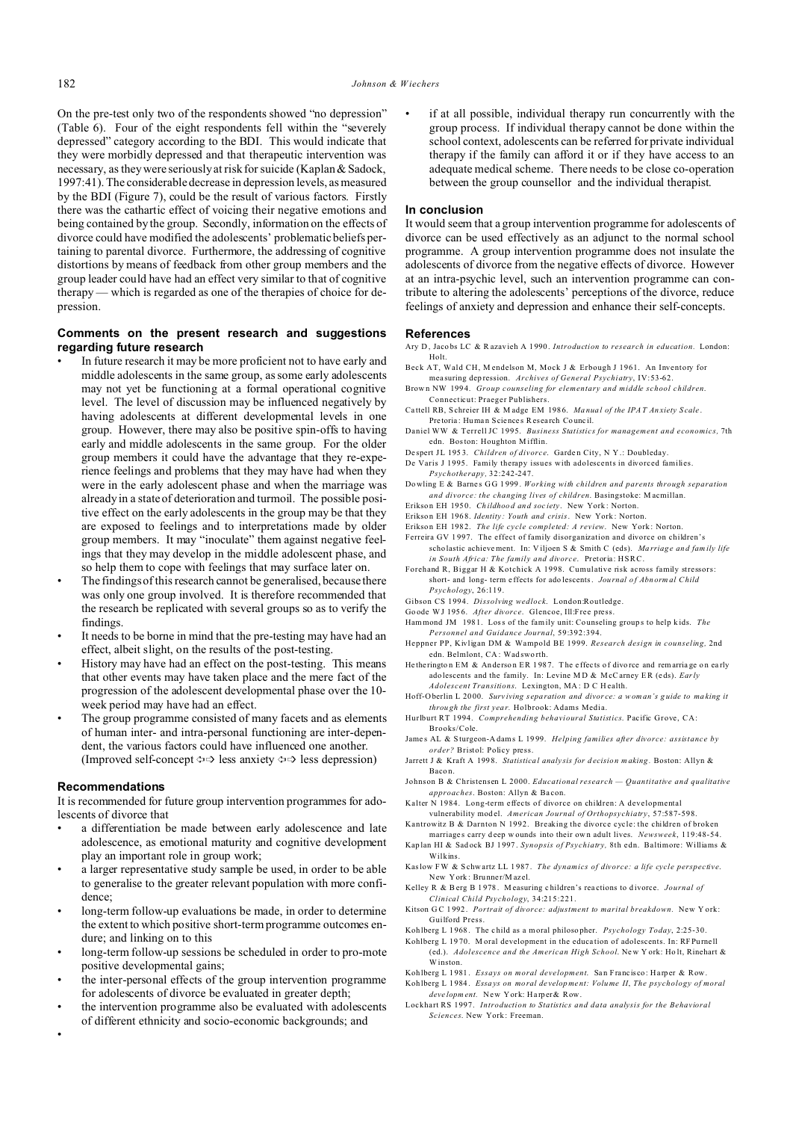On the pre-test only two of the respondents showed "no depression" (Table 6). Four of the eight respondents fell within the "severely depressed" category according to the BDI. This would indicate that they were morbidly depressed and that therapeutic intervention was necessary, as they were seriously at risk for suicide (Kaplan & Sadock, 1997:41). The considerable decrease in depression levels, as measured by the BDI (Figure 7), could be the result of various factors. Firstly there was the cathartic effect of voicing their negative emotions and being contained by the group. Secondly, information on the effects of divorce could have modified the adolescents' problematic beliefs pertaining to parental divorce. Furthermore, the addressing of cognitive distortions by means of feedback from other group members and the group leader could have had an effect very similar to that of cognitive therapy — which is regarded as one of the therapies of choice for depression.

# **Comments on the present research and suggestions regarding future research**

- In future research it may be more proficient not to have early and middle adolescents in the same group, as some early adolescents may not yet be functioning at a formal operational cognitive level. The level of discussion may be influenced negatively by having adolescents at different developmental levels in one group. However, there may also be positive spin-offs to having early and middle adolescents in the same group. For the older group members it could have the advantage that they re-experience feelings and problems that they may have had when they were in the early adolescent phase and when the marriage was already in a state of deterioration and turmoil. The possible positive effect on the early adolescents in the group may be that they are exposed to feelings and to interpretations made by older group members. It may "inoculate" them against negative feelings that they may develop in the middle adolescent phase, and so help them to cope with feelings that may surface later on.
- The findings of this research cannot be generalised, because there was only one group involved. It is therefore recommended that the research be replicated with several groups so as to verify the findings.
- It needs to be borne in mind that the pre-testing may have had an effect, albeit slight, on the results of the post-testing.
- History may have had an effect on the post-testing. This means that other events may have taken place and the mere fact of the progression of the adolescent developmental phase over the 10 week period may have had an effect.
- The group programme consisted of many facets and as elements of human inter- and intra-personal functioning are inter-dependent, the various factors could have influenced one another. (Improved self-concept  $\Leftrightarrow$  less anxiety  $\Leftrightarrow$  less depression)

#### **Recommendations**

•

It is recommended for future group intervention programmes for adolescents of divorce that

- a differentiation be made between early adolescence and late adolescence, as emotional maturity and cognitive development play an important role in group work;
- a larger representative study sample be used, in order to be able to generalise to the greater relevant population with more confidence;
- long-term follow-up evaluations be made, in order to determine the extent to which positive short-term programme outcomes endure; and linking on to this
- long-term follow-up sessions be scheduled in order to pro-mote positive developmental gains;
- the inter-personal effects of the group intervention programme for adolescents of divorce be evaluated in greater depth;
- the intervention programme also be evaluated with adolescents of different ethnicity and socio-economic backgrounds; and

if at all possible, individual therapy run concurrently with the group process. If individual therapy cannot be done within the school context, adolescents can be referred for private individual therapy if the family can afford it or if they have access to an adequate medical scheme. There needs to be close co-operation between the group counsellor and the individual therapist.

# **In conclusion**

It would seem that a group intervention programme for adolescents of divorce can be used effectively as an adjunct to the normal school programme. A group intervention programme does not insulate the adolescents of divorce from the negative effects of divorce. However at an intra-psychic level, such an intervention programme can contribute to altering the adolescents' perceptions of the divorce, reduce feelings of anxiety and depression and enhance their self-concepts.

### **References**

- Ary D, Jacobs LC & R azavieh A 1990. Introduction to research in education. London: Holt.
- Beck AT, Wald CH, M endelson M, Mock J & Erbough J 1961. An Inventory for mea suring dep ression. *Archives of General Psychiatry*, IV:53-62.
- Brown NW 1994. *Group counseling for elementary and middle school children*. Connecticut: Praeger Publishers.
- Ca ttell RB, S chreier IH & M adge EM 198 6. *Ma nua l of the IPA T An xiety S cale* . Pre toria : Human Science s Research Council.
- Daniel WW & Terrell JC 1995. *Business Statistics for management and economics,* 7th edn. Boston: Houghton M ifflin.
- Despert JL 1953. *Children of divorce*. Garden City, N Y .: Doubleday. De Varis J 1995. Family therapy issues with adolescents in divorced families. *Psychotherapy,* 32:242-247.
- Do wling E & Barne s GG 1 999 . *Working with children and parents through separation and divorce: the changing lives of children*. Basingstoke: M acmillan.
- Erikso n EH 195 0. *Ch ildhoo d an d soc iety*. New York : Norton.
- Erikso n EH 196 8. *Identity : Youth and crisis*. New York : Norton.
- Erikson EH 1982. The life cycle completed: A review. New York: Norton.
- Ferreira GV 1 997. The effect of family disorganization and divorce on children's scho lastic achievement. In: V iljoen S & Smith C (eds). *Ma rriag e an d fam ily life in South Africa: The family and divorce*. Pretoria: HSRC.
- Forehand R, Biggar H & Kotchick A 1998. Cumulative risk across family stressors: short- and long- term e ffects for ado lescents. *Jou rnal o f Abn orm al Child Psychology*, 26:119.
- Gibson CS 1994. *Dissolving wedlock*. London:Routledge.
- Go ode WJ 195 6. *After divorce*. Glencoe, Ill:Free press.
- Ham mond JM 198 1. Loss of the family unit: Co unseling group s to help k ids. *The Personnel and Guidance Journal*, 59:392:394.
- Heppner PP, Kivligan DM & Wampold BE 1999. *Research design in counseling,* 2nd edn. Belmlont, CA: Wad sworth.
- He the rington EM & Anderson ER 1987. The effects of divorce and remarriage on early ado lescents and the family. In: Levine M D & M cCarney ER (e ds). *Early Adolescent Transitions*. Lexington, MA : D C H ealth.
- Hoff-O berlin L 20 00. *Surv iving s epa ration and divor ce: a wom an's g uide to ma king it throu gh the first yea r.* Holbrook: Adams Media.
- Hurlburt RT 1994. *Comprehending behavioural Statistics*. Pacific Grove, CA: Brooks/Cole.
- Jame s AL & S turgeon-A dams L 19 99. *Helping families after divorce: assistance by order?* Bristol: Policy press.
- Jarrett J & Kraft A 199 8. *Statistica l analy sis for d ecisio n m aking .* Boston: Allyn & Baco n.
- Johnson B & Christensen L 2000. *Educational research Quantitative and qualitative approaches*. Boston: Allyn & Ba con.
- Kalter N 1984. Long-term effects of divorce on children: A developmental vulnerability mod el. *American Journal of Orthopsychiatry*, 57:587-598.
- Kantrowitz B & Darnton N 1992. Breaking the divorce cycle: the children of broken marriages carry deep wounds into their own adult lives. *Newsweek*, 119:48-54.
- Kap lan HI & Sad ock BJ 1 997 . *Synopsis of Psychiatry,* 8th edn. Baltimore: Williams & Wilkins.
- Kaslow FW & S chw artz LL 1 987 . *The dynamics of divorce: a life cycle perspective*. New York : Bru nne r/M az el.
- Kelley R & Berg B 1 978 . M easuring c hildren's rea ctions to d ivorce. *Journal of Clinical Child Psychology*, 34:215:221.
- Kitson GC 1992. Portrait of divorce: adjustment to marital breakdown. New York: Guilford Press.
- Koh lberg L 1 968 . The c hild as a moral philoso pher. *Psychology Today*, 2:25-30.
- Kohlberg L 19 70. M oral development in the educa tion of adolescents. In: RF Purne ll (ed.). *Adolescence and the American High School*. New Y ork: Ho lt, Rinehart & Winston.
- Koh lberg L 1 981 . *Essays on moral development*. San Francisco: Harper & Row.
- Koh lberg L 1 984 . *Essa ys on mo ral de velop me nt: Volume II*, *The psychology of moral deve lopm ent.* New York: Harper& Row.
- Lockhart RS 1997. *Introduction to Statistics and data analysis for the Behavioral Sciences*. New York : Freeman.